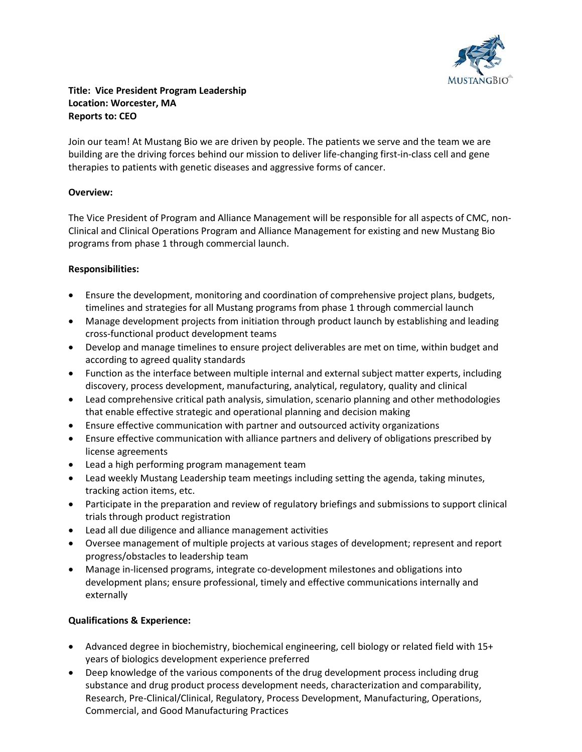

## Title: Vice President Program Leadership Location: Worcester, MA Reports to: CEO

Join our team! At Mustang Bio we are driven by people. The patients we serve and the team we are building are the driving forces behind our mission to deliver life-changing first-in-class cell and gene therapies to patients with genetic diseases and aggressive forms of cancer.

## Overview:

The Vice President of Program and Alliance Management will be responsible for all aspects of CMC, non-Clinical and Clinical Operations Program and Alliance Management for existing and new Mustang Bio programs from phase 1 through commercial launch.

## Responsibilities:

- Ensure the development, monitoring and coordination of comprehensive project plans, budgets, timelines and strategies for all Mustang programs from phase 1 through commercial launch
- Manage development projects from initiation through product launch by establishing and leading cross-functional product development teams
- Develop and manage timelines to ensure project deliverables are met on time, within budget and according to agreed quality standards
- Function as the interface between multiple internal and external subject matter experts, including discovery, process development, manufacturing, analytical, regulatory, quality and clinical
- Lead comprehensive critical path analysis, simulation, scenario planning and other methodologies that enable effective strategic and operational planning and decision making
- Ensure effective communication with partner and outsourced activity organizations
- Ensure effective communication with alliance partners and delivery of obligations prescribed by license agreements
- Lead a high performing program management team
- Lead weekly Mustang Leadership team meetings including setting the agenda, taking minutes, tracking action items, etc.
- Participate in the preparation and review of regulatory briefings and submissions to support clinical trials through product registration
- Lead all due diligence and alliance management activities
- Oversee management of multiple projects at various stages of development; represent and report progress/obstacles to leadership team
- Manage in-licensed programs, integrate co-development milestones and obligations into development plans; ensure professional, timely and effective communications internally and externally

## Qualifications & Experience:

- Advanced degree in biochemistry, biochemical engineering, cell biology or related field with 15+ years of biologics development experience preferred
- Deep knowledge of the various components of the drug development process including drug substance and drug product process development needs, characterization and comparability, Research, Pre-Clinical/Clinical, Regulatory, Process Development, Manufacturing, Operations, Commercial, and Good Manufacturing Practices